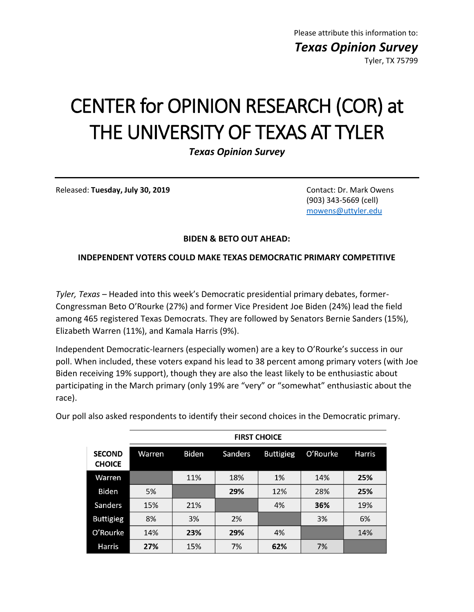Please attribute this information to: *Texas Opinion Survey* Tyler, TX 75799

# CENTER for OPINION RESEARCH (COR) at THE UNIVERSITY OF TEXAS AT TYLER

*Texas Opinion Survey*

Released: **Tuesday, July 30, 2019** Contact: Dr. Mark Owens

(903) 343-5669 (cell) [mowens@uttyler.edu](mailto:mowens@uttyler.edu)

#### **BIDEN & BETO OUT AHEAD:**

#### **INDEPENDENT VOTERS COULD MAKE TEXAS DEMOCRATIC PRIMARY COMPETITIVE**

*Tyler, Texas* – Headed into this week's Democratic presidential primary debates, former-Congressman Beto O'Rourke (27%) and former Vice President Joe Biden (24%) lead the field among 465 registered Texas Democrats. They are followed by Senators Bernie Sanders (15%), Elizabeth Warren (11%), and Kamala Harris (9%).

Independent Democratic-learners (especially women) are a key to O'Rourke's success in our poll. When included, these voters expand his lead to 38 percent among primary voters (with Joe Biden receiving 19% support), though they are also the least likely to be enthusiastic about participating in the March primary (only 19% are "very" or "somewhat" enthusiastic about the race).

| Our poll also asked respondents to identify their second choices in the Democratic primary. |  |  |  |
|---------------------------------------------------------------------------------------------|--|--|--|
|                                                                                             |  |  |  |

|                                | <b>FIRST CHOICE</b> |              |                |                  |          |               |  |  |
|--------------------------------|---------------------|--------------|----------------|------------------|----------|---------------|--|--|
| <b>SECOND</b><br><b>CHOICE</b> | Warren              | <b>Biden</b> | <b>Sanders</b> | <b>Buttigieg</b> | O'Rourke | <b>Harris</b> |  |  |
| Warren                         |                     | 11%          | 18%            | 1%               | 14%      | 25%           |  |  |
| <b>Biden</b>                   | 5%                  |              | 29%            | 12%              | 28%      | 25%           |  |  |
| <b>Sanders</b>                 | 15%                 | 21%          |                | 4%               | 36%      | 19%           |  |  |
| <b>Buttigieg</b>               | 8%                  | 3%           | 2%             |                  | 3%       | 6%            |  |  |
| O'Rourke                       | 14%                 | 23%          | 29%            | 4%               |          | 14%           |  |  |
| Harris                         | 27%                 | 15%          | 7%             | 62%              | 7%       |               |  |  |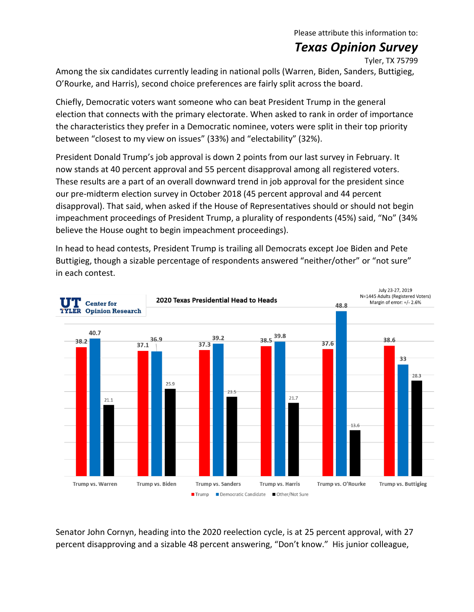Please attribute this information to:

## *Texas Opinion Survey*

Tyler, TX 75799

Among the six candidates currently leading in national polls (Warren, Biden, Sanders, Buttigieg, O'Rourke, and Harris), second choice preferences are fairly split across the board.

Chiefly, Democratic voters want someone who can beat President Trump in the general election that connects with the primary electorate. When asked to rank in order of importance the characteristics they prefer in a Democratic nominee, voters were split in their top priority between "closest to my view on issues" (33%) and "electability" (32%).

President Donald Trump's job approval is down 2 points from our last survey in February. It now stands at 40 percent approval and 55 percent disapproval among all registered voters. These results are a part of an overall downward trend in job approval for the president since our pre-midterm election survey in October 2018 (45 percent approval and 44 percent disapproval). That said, when asked if the House of Representatives should or should not begin impeachment proceedings of President Trump, a plurality of respondents (45%) said, "No" (34% believe the House ought to begin impeachment proceedings).

In head to head contests, President Trump is trailing all Democrats except Joe Biden and Pete Buttigieg, though a sizable percentage of respondents answered "neither/other" or "not sure" in each contest.



Senator John Cornyn, heading into the 2020 reelection cycle, is at 25 percent approval, with 27 percent disapproving and a sizable 48 percent answering, "Don't know." His junior colleague,